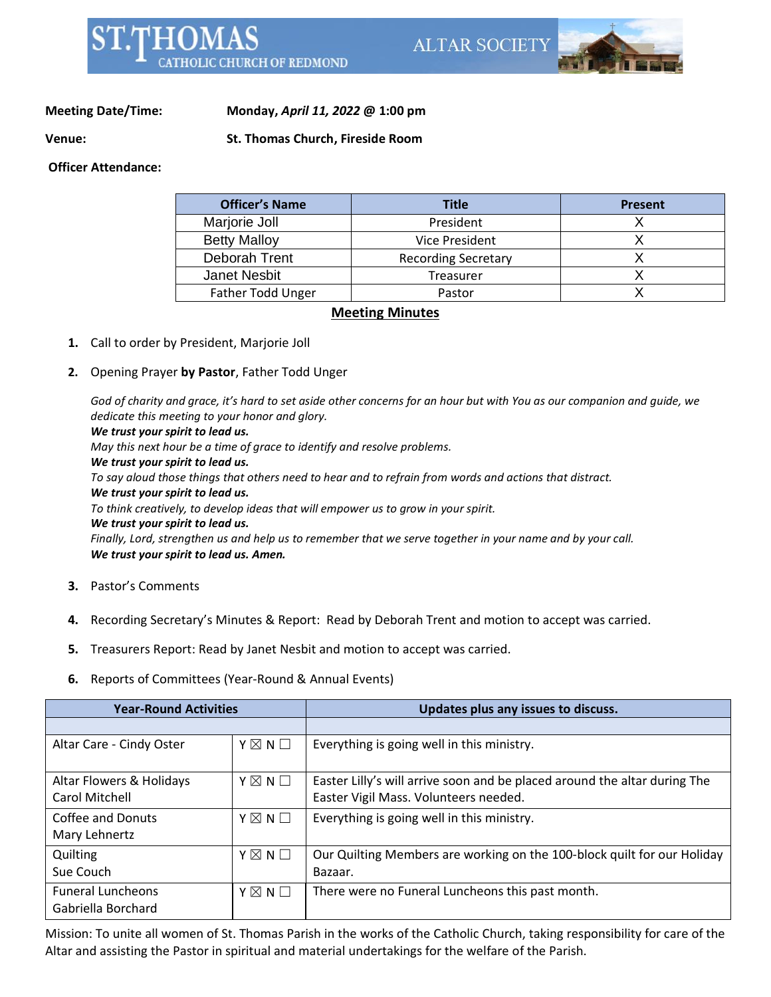

**Meeting Date/Time: Monday,** *April 11, 2022* **@ 1:00 pm**

**Venue: St. Thomas Church, Fireside Room**

**Officer Attendance:** 

| <b>Officer's Name</b> | <b>Title</b>               | <b>Present</b> |
|-----------------------|----------------------------|----------------|
| Marjorie Joll         | President                  |                |
| <b>Betty Malloy</b>   | Vice President             |                |
| Deborah Trent         | <b>Recording Secretary</b> |                |
| Janet Nesbit          | Treasurer                  |                |
| Father Todd Unger     | Pastor                     |                |

## **Meeting Minutes**

- **1.** Call to order by President, Marjorie Joll
- **2.** Opening Prayer **by Pastor**, Father Todd Unger

God of charity and grace, it's hard to set aside other concerns for an hour but with You as our companion and guide, we *dedicate this meeting to your honor and glory. We trust your spirit to lead us. May this next hour be a time of grace to identify and resolve problems. We trust your spirit to lead us.* To say aloud those things that others need to hear and to refrain from words and actions that distract. *We trust your spirit to lead us. To think creatively, to develop ideas that will empower us to grow in your spirit. We trust your spirit to lead us.* Finally, Lord, strengthen us and help us to remember that we serve together in your name and by your call.

*We trust your spirit to lead us. Amen.*

- **3.** Pastor's Comments
- **4.** Recording Secretary's Minutes & Report: Read by Deborah Trent and motion to accept was carried.
- **5.** Treasurers Report: Read by Janet Nesbit and motion to accept was carried.
- **6.** Reports of Committees (Year-Round & Annual Events)

| <b>Year-Round Activities</b> |                 | Updates plus any issues to discuss.                                       |
|------------------------------|-----------------|---------------------------------------------------------------------------|
|                              |                 |                                                                           |
| Altar Care - Cindy Oster     | $Y \boxtimes N$ | Everything is going well in this ministry.                                |
| Altar Flowers & Holidays     | $Y \boxtimes N$ | Easter Lilly's will arrive soon and be placed around the altar during The |
| <b>Carol Mitchell</b>        |                 | Easter Vigil Mass. Volunteers needed.                                     |
| Coffee and Donuts            | $Y \boxtimes N$ | Everything is going well in this ministry.                                |
| Mary Lehnertz                |                 |                                                                           |
| Quilting                     | $Y \boxtimes N$ | Our Quilting Members are working on the 100-block quilt for our Holiday   |
| Sue Couch                    |                 | Bazaar.                                                                   |
| <b>Funeral Luncheons</b>     | $Y \boxtimes N$ | There were no Funeral Luncheons this past month.                          |
| Gabriella Borchard           |                 |                                                                           |

Mission: To unite all women of St. Thomas Parish in the works of the Catholic Church, taking responsibility for care of the Altar and assisting the Pastor in spiritual and material undertakings for the welfare of the Parish.